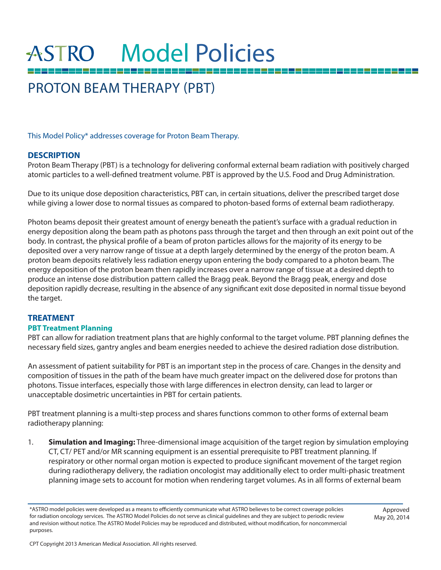# **ASTRO** Model Policies

## PROTON BEAM THERAPY (PBT)

This Model Policy\* addresses coverage for Proton Beam Therapy.

## **DESCRIPTION**

Proton Beam Therapy (PBT) is a technology for delivering conformal external beam radiation with positively charged atomic particles to a well-defined treatment volume. PBT is approved by the U.S. Food and Drug Administration.

Due to its unique dose deposition characteristics, PBT can, in certain situations, deliver the prescribed target dose while giving a lower dose to normal tissues as compared to photon-based forms of external beam radiotherapy.

Photon beams deposit their greatest amount of energy beneath the patient's surface with a gradual reduction in energy deposition along the beam path as photons pass through the target and then through an exit point out of the body. In contrast, the physical profile of a beam of proton particles allows for the majority of its energy to be deposited over a very narrow range of tissue at a depth largely determined by the energy of the proton beam. A proton beam deposits relatively less radiation energy upon entering the body compared to a photon beam. The energy deposition of the proton beam then rapidly increases over a narrow range of tissue at a desired depth to produce an intense dose distribution pattern called the Bragg peak. Beyond the Bragg peak, energy and dose deposition rapidly decrease, resulting in the absence of any significant exit dose deposited in normal tissue beyond the target.

## **TREATMENT**

#### **PBT Treatment Planning**

PBT can allow for radiation treatment plans that are highly conformal to the target volume. PBT planning defines the necessary field sizes, gantry angles and beam energies needed to achieve the desired radiation dose distribution.

An assessment of patient suitability for PBT is an important step in the process of care. Changes in the density and composition of tissues in the path of the beam have much greater impact on the delivered dose for protons than photons. Tissue interfaces, especially those with large differences in electron density, can lead to larger or unacceptable dosimetric uncertainties in PBT for certain patients.

PBT treatment planning is a multi-step process and shares functions common to other forms of external beam radiotherapy planning:

1. **Simulation and Imaging:** Three-dimensional image acquisition of the target region by simulation employing CT, CT/ PET and/or MR scanning equipment is an essential prerequisite to PBT treatment planning. If respiratory or other normal organ motion is expected to produce significant movement of the target region during radiotherapy delivery, the radiation oncologist may additionally elect to order multi-phasic treatment planning image sets to account for motion when rendering target volumes. As in all forms of external beam

Approved May 20, 2014

<sup>\*</sup>ASTRO model policies were developed as a means to efficiently communicate what ASTRO believes to be correct coverage policies for radiation oncology services. The ASTRO Model Policies do not serve as clinical guidelines and they are subject to periodic review and revision without notice. The ASTRO Model Policies may be reproduced and distributed, without modification, for noncommercial purposes.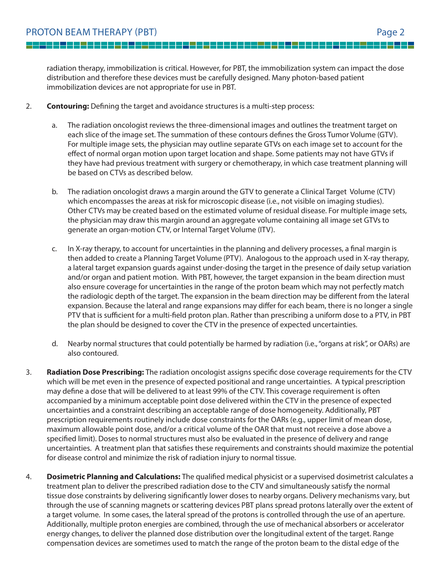<u> 1950 - Ja</u>

<u>e e</u>

radiation therapy, immobilization is critical. However, for PBT, the immobilization system can impact the dose distribution and therefore these devices must be carefully designed. Many photon-based patient immobilization devices are not appropriate for use in PBT.

- 2. **Contouring:** Defining the target and avoidance structures is a multi-step process:
	- a. The radiation oncologist reviews the three-dimensional images and outlines the treatment target on each slice of the image set. The summation of these contours defines the Gross Tumor Volume (GTV). For multiple image sets, the physician may outline separate GTVs on each image set to account for the effect of normal organ motion upon target location and shape. Some patients may not have GTVs if they have had previous treatment with surgery or chemotherapy, in which case treatment planning will be based on CTVs as described below.
	- b. The radiation oncologist draws a margin around the GTV to generate a Clinical Target Volume (CTV) which encompasses the areas at risk for microscopic disease (i.e., not visible on imaging studies). Other CTVs may be created based on the estimated volume of residual disease. For multiple image sets, the physician may draw this margin around an aggregate volume containing all image set GTVs to generate an organ-motion CTV, or Internal Target Volume (ITV).
	- c. In X-ray therapy, to account for uncertainties in the planning and delivery processes, a final margin is then added to create a Planning Target Volume (PTV). Analogous to the approach used in X-ray therapy, a lateral target expansion guards against under-dosing the target in the presence of daily setup variation and/or organ and patient motion. With PBT, however, the target expansion in the beam direction must also ensure coverage for uncertainties in the range of the proton beam which may not perfectly match the radiologic depth of the target. The expansion in the beam direction may be different from the lateral expansion. Because the lateral and range expansions may differ for each beam, there is no longer a single PTV that is sufficient for a multi-field proton plan. Rather than prescribing a uniform dose to a PTV, in PBT the plan should be designed to cover the CTV in the presence of expected uncertainties.
	- d. Nearby normal structures that could potentially be harmed by radiation (i.e., "organs at risk", or OARs) are also contoured.
- 3. **Radiation Dose Prescribing:** The radiation oncologist assigns specific dose coverage requirements for the CTV which will be met even in the presence of expected positional and range uncertainties. A typical prescription may define a dose that will be delivered to at least 99% of the CTV. This coverage requirement is often accompanied by a minimum acceptable point dose delivered within the CTV in the presence of expected uncertainties and a constraint describing an acceptable range of dose homogeneity. Additionally, PBT prescription requirements routinely include dose constraints for the OARs (e.g., upper limit of mean dose, maximum allowable point dose, and/or a critical volume of the OAR that must not receive a dose above a specified limit). Doses to normal structures must also be evaluated in the presence of delivery and range uncertainties. A treatment plan that satisfies these requirements and constraints should maximize the potential for disease control and minimize the risk of radiation injury to normal tissue.
- 4. **Dosimetric Planning and Calculations:** The qualified medical physicist or a supervised dosimetrist calculates a treatment plan to deliver the prescribed radiation dose to the CTV and simultaneously satisfy the normal tissue dose constraints by delivering significantly lower doses to nearby organs. Delivery mechanisms vary, but through the use of scanning magnets or scattering devices PBT plans spread protons laterally over the extent of a target volume. In some cases, the lateral spread of the protons is controlled through the use of an aperture. Additionally, multiple proton energies are combined, through the use of mechanical absorbers or accelerator energy changes, to deliver the planned dose distribution over the longitudinal extent of the target. Range compensation devices are sometimes used to match the range of the proton beam to the distal edge of the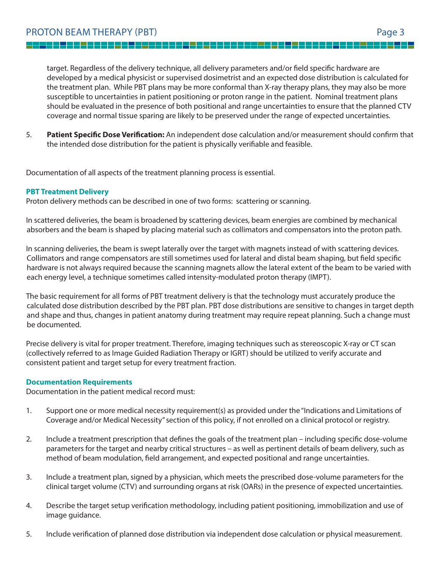<u> La La</u>

<u>e d</u>

target. Regardless of the delivery technique, all delivery parameters and/or field specific hardware are developed by a medical physicist or supervised dosimetrist and an expected dose distribution is calculated for the treatment plan. While PBT plans may be more conformal than X-ray therapy plans, they may also be more susceptible to uncertainties in patient positioning or proton range in the patient. Nominal treatment plans should be evaluated in the presence of both positional and range uncertainties to ensure that the planned CTV coverage and normal tissue sparing are likely to be preserved under the range of expected uncertainties.

5. **Patient Specific Dose Verification:** An independent dose calculation and/or measurement should confirm that the intended dose distribution for the patient is physically verifiable and feasible.

Documentation of all aspects of the treatment planning process is essential.

## **PBT Treatment Delivery**

Proton delivery methods can be described in one of two forms: scattering or scanning.

In scattered deliveries, the beam is broadened by scattering devices, beam energies are combined by mechanical absorbers and the beam is shaped by placing material such as collimators and compensators into the proton path.

In scanning deliveries, the beam is swept laterally over the target with magnets instead of with scattering devices. Collimators and range compensators are still sometimes used for lateral and distal beam shaping, but field specific hardware is not always required because the scanning magnets allow the lateral extent of the beam to be varied with each energy level, a technique sometimes called intensity-modulated proton therapy (IMPT).

The basic requirement for all forms of PBT treatment delivery is that the technology must accurately produce the calculated dose distribution described by the PBT plan. PBT dose distributions are sensitive to changes in target depth and shape and thus, changes in patient anatomy during treatment may require repeat planning. Such a change must be documented.

Precise delivery is vital for proper treatment. Therefore, imaging techniques such as stereoscopic X-ray or CT scan (collectively referred to as Image Guided Radiation Therapy or IGRT) should be utilized to verify accurate and consistent patient and target setup for every treatment fraction.

#### **Documentation Requirements**

Documentation in the patient medical record must:

- 1. Support one or more medical necessity requirement(s) as provided under the "Indications and Limitations of Coverage and/or Medical Necessity" section of this policy, if not enrolled on a clinical protocol or registry.
- 2. Include a treatment prescription that defines the goals of the treatment plan including specific dose-volume parameters for the target and nearby critical structures – as well as pertinent details of beam delivery, such as method of beam modulation, field arrangement, and expected positional and range uncertainties.
- 3. Include a treatment plan, signed by a physician, which meets the prescribed dose-volume parameters for the clinical target volume (CTV) and surrounding organs at risk (OARs) in the presence of expected uncertainties.
- 4. Describe the target setup verification methodology, including patient positioning, immobilization and use of image guidance.
- 5. Include verification of planned dose distribution via independent dose calculation or physical measurement.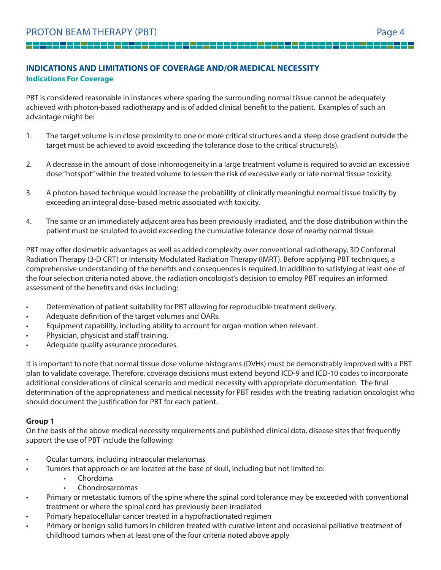<u>1522 - 222 - 222 - 222 - 22</u>

## **INDICATIONS AND LIMITATIONS OF COVERAGE AND/OR MEDICAL NECESSITY Indications For Coverage**

PBT is considered reasonable in instances where sparing the surrounding normal tissue cannot be adequately achieved with photon-based radiotherapy and is of added clinical benefit to the patient. Examples of such an advantage might be:

 $\overline{\phantom{0}}$ 

- 1. The target volume is in close proximity to one or more critical structures and a steep dose gradient outside the target must be achieved to avoid exceeding the tolerance dose to the critical structure(s).
- 2. A decrease in the amount of dose inhomogeneity in a large treatment volume is required to avoid an excessive dose "hotspot" within the treated volume to lessen the risk of excessive early or late normal tissue toxicity.
- 3. A photon-based technique would increase the probability of clinically meaningful normal tissue toxicity by exceeding an integral dose-based metric associated with toxicity.
- 4. The same or an immediately adjacent area has been previously irradiated, and the dose distribution within the patient must be sculpted to avoid exceeding the cumulative tolerance dose of nearby normal tissue.

PBT may offer dosimetric advantages as well as added complexity over conventional radiotherapy, 3D Conformal Radiation Therapy (3-D CRT) or Intensity Modulated Radiation Therapy (IMRT). Before applying PBT techniques, a comprehensive understanding of the benefits and consequences is required. In addition to satisfying at least one of the four selection criteria noted above, the radiation oncologist's decision to employ PBT requires an informed assessment of the benefits and risks including:

- Determination of patient suitability for PBT allowing for reproducible treatment delivery.
- Adequate definition of the target volumes and OARs.
- Equipment capability, including ability to account for organ motion when relevant.
- Physician, physicist and staff training.
- Adequate quality assurance procedures.

It is important to note that normal tissue dose volume histograms (DVHs) must be demonstrably improved with a PBT plan to validate coverage. Therefore, coverage decisions must extend beyond ICD-9 and ICD-10 codes to incorporate additional considerations of clinical scenario and medical necessity with appropriate documentation. The final determination of the appropriateness and medical necessity for PBT resides with the treating radiation oncologist who should document the justification for PBT for each patient.

## **Group 1**

On the basis of the above medical necessity requirements and published clinical data, disease sites that frequently support the use of PBT include the following:

- Ocular tumors, including intraocular melanomas
- Tumors that approach or are located at the base of skull, including but not limited to:
	- Chordoma
	- Chondrosarcomas
- Primary or metastatic tumors of the spine where the spinal cord tolerance may be exceeded with conventional treatment or where the spinal cord has previously been irradiated
- Primary hepatocellular cancer treated in a hypofractionated regimen
- Primary or benign solid tumors in children treated with curative intent and occasional palliative treatment of childhood tumors when at least one of the four criteria noted above apply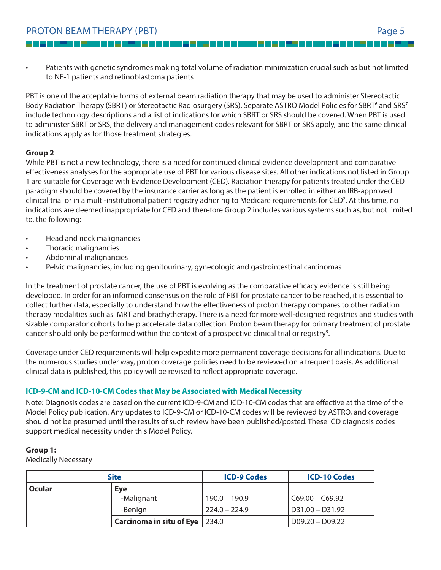Patients with genetic syndromes making total volume of radiation minimization crucial such as but not limited to NF-1 patients and retinoblastoma patients

PBT is one of the acceptable forms of external beam radiation therapy that may be used to administer Stereotactic Body Radiation Therapy (SBRT) or Stereotactic Radiosurgery (SRS). Separate ASTRO Model Policies for SBRT<sup>6</sup> and SRS<sup>7</sup> include technology descriptions and a list of indications for which SBRT or SRS should be covered. When PBT is used to administer SBRT or SRS, the delivery and management codes relevant for SBRT or SRS apply, and the same clinical indications apply as for those treatment strategies.

## **Group 2**

While PBT is not a new technology, there is a need for continued clinical evidence development and comparative effectiveness analyses for the appropriate use of PBT for various disease sites. All other indications not listed in Group 1 are suitable for Coverage with Evidence Development (CED). Radiation therapy for patients treated under the CED paradigm should be covered by the insurance carrier as long as the patient is enrolled in either an IRB-approved clinical trial or in a multi-institutional patient registry adhering to Medicare requirements for CED<sup>2</sup>. At this time, no indications are deemed inappropriate for CED and therefore Group 2 includes various systems such as, but not limited to, the following:

- Head and neck malignancies
- Thoracic malignancies
- Abdominal malignancies
- Pelvic malignancies, including genitourinary, gynecologic and gastrointestinal carcinomas

In the treatment of prostate cancer, the use of PBT is evolving as the comparative efficacy evidence is still being developed. In order for an informed consensus on the role of PBT for prostate cancer to be reached, it is essential to collect further data, especially to understand how the effectiveness of proton therapy compares to other radiation therapy modalities such as IMRT and brachytherapy. There is a need for more well-designed registries and studies with sizable comparator cohorts to help accelerate data collection. Proton beam therapy for primary treatment of prostate cancer should only be performed within the context of a prospective clinical trial or registry<sup>5</sup>.

Coverage under CED requirements will help expedite more permanent coverage decisions for all indications. Due to the numerous studies under way, proton coverage policies need to be reviewed on a frequent basis. As additional clinical data is published, this policy will be revised to reflect appropriate coverage.

## **ICD-9-CM and ICD-10-CM Codes that May be Associated with Medical Necessity**

Note: Diagnosis codes are based on the current ICD-9-CM and ICD-10-CM codes that are effective at the time of the Model Policy publication. Any updates to ICD-9-CM or ICD-10-CM codes will be reviewed by ASTRO, and coverage should not be presumed until the results of such review have been published/posted. These ICD diagnosis codes support medical necessity under this Model Policy.

## **Group 1:**

Medically Necessary

| <b>Site</b> |                                   | <b>ICD-9 Codes</b> | <b>ICD-10 Codes</b> |
|-------------|-----------------------------------|--------------------|---------------------|
| Ocular      | <b>Eye</b>                        |                    |                     |
|             | -Malignant                        | $190.0 - 190.9$    | $CC69.00 - C69.92$  |
|             | -Benign                           | $224.0 - 224.9$    | D31.00 - D31.92     |
|             | Carcinoma in situ of Eye $ 234.0$ |                    | D09.20 - D09.22     |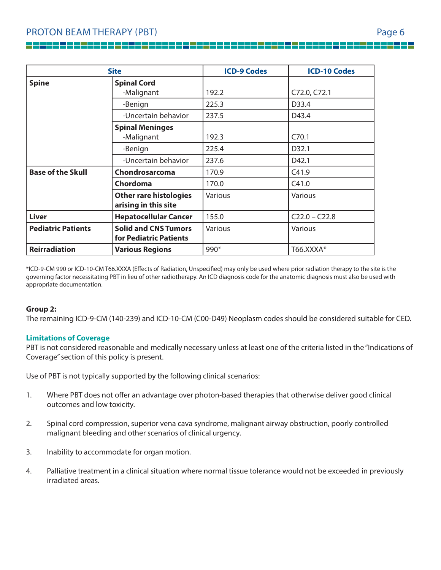| <b>Site</b>               |                               | <b>ICD-9 Codes</b> | <b>ICD-10 Codes</b> |
|---------------------------|-------------------------------|--------------------|---------------------|
| <b>Spine</b>              | <b>Spinal Cord</b>            |                    |                     |
|                           | -Malignant                    | 192.2              | C72.0, C72.1        |
|                           | -Benign                       | 225.3              | D33.4               |
|                           | -Uncertain behavior           | 237.5              | D43.4               |
|                           | <b>Spinal Meninges</b>        |                    |                     |
|                           | -Malignant                    | 192.3              | C70.1               |
|                           | -Benign                       | 225.4              | D32.1               |
|                           | -Uncertain behavior           | 237.6              | D42.1               |
| <b>Base of the Skull</b>  | Chondrosarcoma                | 170.9              | C41.9               |
|                           | Chordoma                      | 170.0              | C41.0               |
|                           | <b>Other rare histologies</b> | Various            | Various             |
|                           | arising in this site          |                    |                     |
| <b>Liver</b>              | <b>Hepatocellular Cancer</b>  | 155.0              | $C22.0 - C22.8$     |
| <b>Pediatric Patients</b> | <b>Solid and CNS Tumors</b>   | Various            | Various             |
|                           | for Pediatric Patients        |                    |                     |
| <b>Reirradiation</b>      | <b>Various Regions</b>        | $990*$             | T66.XXXA*           |

\*ICD-9-CM 990 or ICD-10-CM T66.XXXA (Effects of Radiation, Unspecified) may only be used where prior radiation therapy to the site is the governing factor necessitating PBT in lieu of other radiotherapy. An ICD diagnosis code for the anatomic diagnosis must also be used with appropriate documentation.

#### **Group 2:**

The remaining ICD-9-CM (140-239) and ICD-10-CM (C00-D49) Neoplasm codes should be considered suitable for CED.

#### **Limitations of Coverage**

PBT is not considered reasonable and medically necessary unless at least one of the criteria listed in the "Indications of Coverage" section of this policy is present.

Use of PBT is not typically supported by the following clinical scenarios:

- 1. Where PBT does not offer an advantage over photon-based therapies that otherwise deliver good clinical outcomes and low toxicity.
- 2. Spinal cord compression, superior vena cava syndrome, malignant airway obstruction, poorly controlled malignant bleeding and other scenarios of clinical urgency.
- 3. Inability to accommodate for organ motion.
- 4. Palliative treatment in a clinical situation where normal tissue tolerance would not be exceeded in previously irradiated areas.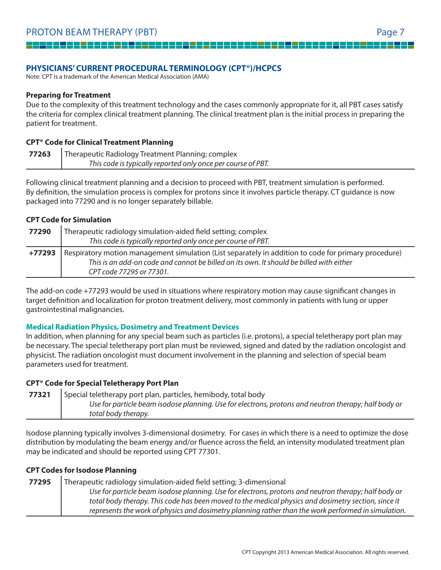## **PHYSICIANS' CURRENT PROCEDURAL TERMINOLOGY (CPT®)/HCPCS**

Note: CPT is a trademark of the American Medical Association (AMA)

#### **Preparing for Treatment**

Due to the complexity of this treatment technology and the cases commonly appropriate for it, all PBT cases satisfy the criteria for complex clinical treatment planning. The clinical treatment plan is the initial process in preparing the patient for treatment.

#### **CPT® Code for Clinical Treatment Planning**

**77263** Therapeutic Radiology Treatment Planning; complex This code is typically reported only once per course of PBT.

Following clinical treatment planning and a decision to proceed with PBT, treatment simulation is performed. By definition, the simulation process is complex for protons since it involves particle therapy. CT quidance is now packaged into 77290 and is no longer separately billable.

## **CPT Code for Simulation**

| 77290  | Therapeutic radiology simulation-aided field setting; complex<br>This code is typically reported only once per course of PBT. |
|--------|-------------------------------------------------------------------------------------------------------------------------------|
| +77293 | Respiratory motion management simulation (List separately in addition to code for primary procedure)                          |
|        | This is an add-on code and cannot be billed on its own. It should be billed with either<br>CPT code 77295 or 77301.           |

The add-on code +77293 would be used in situations where respiratory motion may cause significant changes in target definition and localization for proton treatment delivery, most commonly in patients with lung or upper gastrointestinal malignancies.

#### **Medical Radiation Physics, Dosimetry and Treatment Devices**

In addition, when planning for any special beam such as particles (i.e. protons), a special teletherapy port plan may be necessary. The special teletherapy port plan must be reviewed, signed and dated by the radiation oncologist and physicist. The radiation oncologist must document involvement in the planning and selection of special beam parameters used for treatment.

#### **CPT® Code for Special Teletherapy Port Plan**

**77321** Special teletherapy port plan, particles, hemibody, total body Use for particle beam isodose planning. Use for electrons, protons and neutron therapy; half body or total body therapy.

Isodose planning typically involves 3-dimensional dosimetry. For cases in which there is a need to optimize the dose distribution by modulating the beam energy and/or fluence across the field, an intensity modulated treatment plan may be indicated and should be reported using CPT 77301.

#### **CPT Codes for Isodose Planning**

## **77295** Therapeutic radiology simulation-aided field setting; 3-dimensional Use for particle beam isodose planning. Use for electrons, protons and neutron therapy; half body or total body therapy. This code has been moved to the medical physics and dosimetry section, since it represents the work of physics and dosimetry planning rather than the work performed in simulation.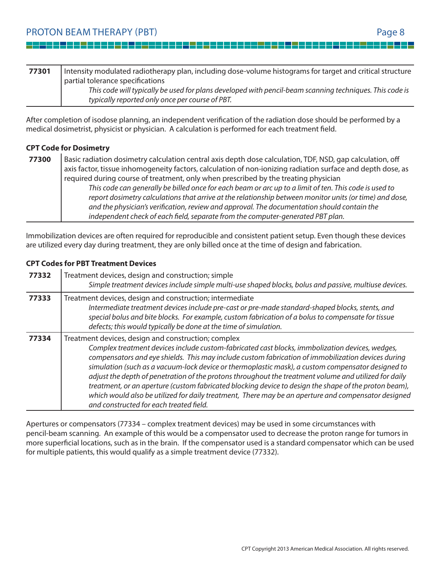<u>i i p</u>

- 11

| 77301 | Intensity modulated radiotherapy plan, including dose-volume histograms for target and critical structure |
|-------|-----------------------------------------------------------------------------------------------------------|
|       | partial tolerance specifications                                                                          |
|       | This code will typically be used for plans developed with pencil-beam scanning techniques. This code is   |
|       | typically reported only once per course of PBT.                                                           |

After completion of isodose planning, an independent verification of the radiation dose should be performed by a medical dosimetrist, physicist or physician. A calculation is performed for each treatment field.

## **CPT Code for Dosimetry**

 $\overline{\phantom{a}}$ 

| 77300 | Basic radiation dosimetry calculation central axis depth dose calculation, TDF, NSD, gap calculation, off   |
|-------|-------------------------------------------------------------------------------------------------------------|
|       | axis factor, tissue inhomogeneity factors, calculation of non-ionizing radiation surface and depth dose, as |
|       | required during course of treatment, only when prescribed by the treating physician                         |
|       | This code can generally be billed once for each beam or arc up to a limit of ten. This code is used to      |
|       | report dosimetry calculations that arrive at the relationship between monitor units (or time) and dose,     |
|       | and the physician's verification, review and approval. The documentation should contain the                 |
|       | independent check of each field, separate from the computer-generated PBT plan.                             |

Immobilization devices are often required for reproducible and consistent patient setup. Even though these devices are utilized every day during treatment, they are only billed once at the time of design and fabrication.

## **CPT Codes for PBT Treatment Devices**

| 77332 | Treatment devices, design and construction; simple<br>Simple treatment devices include simple multi-use shaped blocks, bolus and passive, multiuse devices.                                                                                                                                                                                                                                                                                                                                                                                                                                                                                                                                                                           |
|-------|---------------------------------------------------------------------------------------------------------------------------------------------------------------------------------------------------------------------------------------------------------------------------------------------------------------------------------------------------------------------------------------------------------------------------------------------------------------------------------------------------------------------------------------------------------------------------------------------------------------------------------------------------------------------------------------------------------------------------------------|
| 77333 | Treatment devices, design and construction; intermediate<br>Intermediate treatment devices include pre-cast or pre-made standard-shaped blocks, stents, and<br>special bolus and bite blocks. For example, custom fabrication of a bolus to compensate for tissue<br>defects; this would typically be done at the time of simulation.                                                                                                                                                                                                                                                                                                                                                                                                 |
| 77334 | Treatment devices, design and construction; complex<br>Complex treatment devices include custom-fabricated cast blocks, immbolization devices, wedges,<br>compensators and eye shields. This may include custom fabrication of immobilization devices during<br>simulation (such as a vacuum-lock device or thermoplastic mask), a custom compensator designed to<br>adjust the depth of penetration of the protons throughout the treatment volume and utilized for daily<br>treatment, or an aperture (custom fabricated blocking device to design the shape of the proton beam),<br>which would also be utilized for daily treatment, There may be an aperture and compensator designed<br>and constructed for each treated field. |

Apertures or compensators (77334 – complex treatment devices) may be used in some circumstances with pencil-beam scanning. An example of this would be a compensator used to decrease the proton range for tumors in more superficial locations, such as in the brain. If the compensator used is a standard compensator which can be used for multiple patients, this would qualify as a simple treatment device (77332).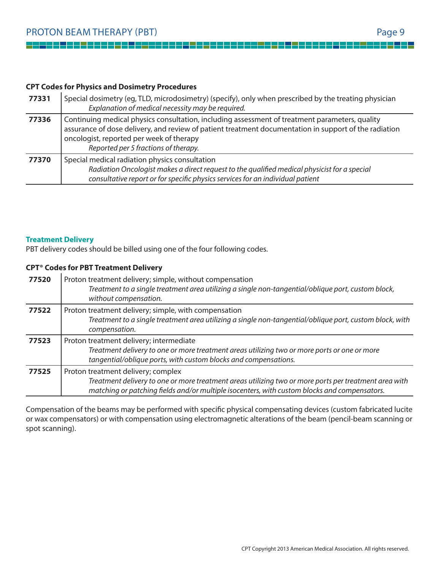<u>La l</u>

 $\overline{\phantom{a}}$ 

## **CPT Codes for Physics and Dosimetry Procedures**

| 77331 | Special dosimetry (eq, TLD, microdosimetry) (specify), only when prescribed by the treating physician<br>Explanation of medical necessity may be required.                                                                                                                                  |
|-------|---------------------------------------------------------------------------------------------------------------------------------------------------------------------------------------------------------------------------------------------------------------------------------------------|
| 77336 | Continuing medical physics consultation, including assessment of treatment parameters, quality<br>assurance of dose delivery, and review of patient treatment documentation in support of the radiation<br>oncologist, reported per week of therapy<br>Reported per 5 fractions of therapy. |
| 77370 | Special medical radiation physics consultation<br>Radiation Oncologist makes a direct request to the qualified medical physicist for a special<br>consultative report or for specific physics services for an individual patient                                                            |

#### **Treatment Delivery**

PBT delivery codes should be billed using one of the four following codes.

## **CPT® Codes for PBT Treatment Delivery**

| 77520 | Proton treatment delivery; simple, without compensation<br>Treatment to a single treatment area utilizing a single non-tangential/oblique port, custom block,<br>without compensation.                                                      |
|-------|---------------------------------------------------------------------------------------------------------------------------------------------------------------------------------------------------------------------------------------------|
| 77522 | Proton treatment delivery; simple, with compensation<br>Treatment to a single treatment area utilizing a single non-tangential/oblique port, custom block, with<br>compensation.                                                            |
| 77523 | Proton treatment delivery; intermediate<br>Treatment delivery to one or more treatment areas utilizing two or more ports or one or more<br>tangential/oblique ports, with custom blocks and compensations.                                  |
| 77525 | Proton treatment delivery; complex<br>Treatment delivery to one or more treatment areas utilizing two or more ports per treatment area with<br>matching or patching fields and/or multiple isocenters, with custom blocks and compensators. |

Compensation of the beams may be performed with specific physical compensating devices (custom fabricated lucite or wax compensators) or with compensation using electromagnetic alterations of the beam (pencil-beam scanning or spot scanning).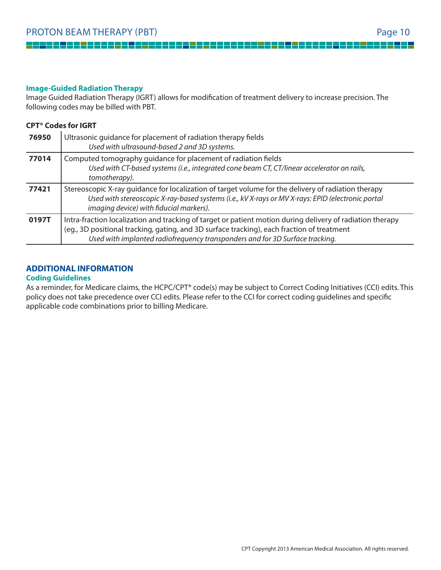--

-----

▌▀▌▀▐▀▐▀▐

#### **Image-Guided Radiation Therapy**

Image Guided Radiation Therapy (IGRT) allows for modification of treatment delivery to increase precision. The following codes may be billed with PBT.

 $\overline{\phantom{0}}$ 

## **CPT® Codes for IGRT**

<u>e e</u>

 $\overline{\phantom{a}}$ 

| 76950 | Ultrasonic guidance for placement of radiation therapy fields<br>Used with ultrasound-based 2 and 3D systems.                                                                                                                                                                           |
|-------|-----------------------------------------------------------------------------------------------------------------------------------------------------------------------------------------------------------------------------------------------------------------------------------------|
| 77014 | Computed tomography guidance for placement of radiation fields<br>Used with CT-based systems (i.e., integrated cone beam CT, CT/linear accelerator on rails,<br>tomotherapy).                                                                                                           |
| 77421 | Stereoscopic X-ray guidance for localization of target volume for the delivery of radiation therapy<br>Used with stereoscopic X-ray-based systems (i.e., kV X-rays or MV X-rays: EPID (electronic portal<br>imaging device) with fiducial markers).                                     |
| 0197T | Intra-fraction localization and tracking of target or patient motion during delivery of radiation therapy<br>(eg., 3D positional tracking, gating, and 3D surface tracking), each fraction of treatment<br>Used with implanted radiofrequency transponders and for 3D Surface tracking. |

## **ADDITIONAL INFORMATION**

#### **Coding Guidelines**

As a reminder, for Medicare claims, the HCPC/CPT® code(s) may be subject to Correct Coding Initiatives (CCI) edits. This policy does not take precedence over CCI edits. Please refer to the CCI for correct coding guidelines and specific applicable code combinations prior to billing Medicare.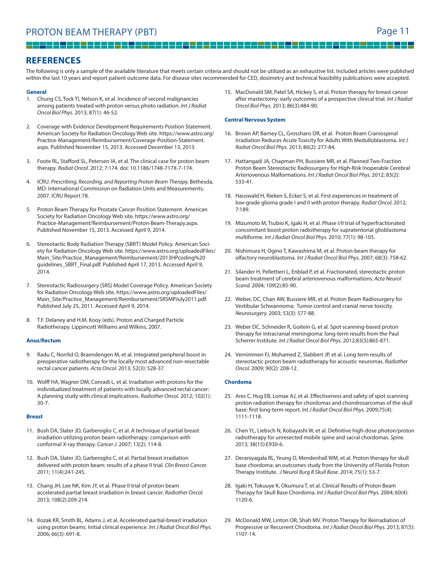a populație de la provincia de la provincia de la provincia de la provincia de la provincia de la provincia d<br>De la provincia de la provincia de la provincia de la provincia de la provincia de la provincia de la provinci

<u> La L</u>

## **REFERENCES**

 $\overline{\phantom{a}}$ 

The following is only a sample of the available literature that meets certain criteria and should not be utilized as an exhaustive list. Included articles were published within the last 10 years and report patient outcome data. For disease sites recommended for CED, dosimetry and technical feasibility publications were accepted.

#### **General**

- 1. Chung CS, Tock TI, Nelson K, et al. Incidence of second malignancies among patients treated with proton versus photo radiation. Int J Radiat Oncol Biol Phys. 2013; 87(1): 46-52.
- 2. Coverage with Evidence Development Requirements Position Statement. American Society for Radiation Oncology Web site. https://www.astro.org/ Practice-Management/Reimbursement/Coverage-Position-Statement. aspx. Published November 15, 2013. Accessed December 13, 2013.
- 3. Foote RL, Stafford SL, Petersen IA, et al. The clinical case for proton beam therapy. Radiat Oncol. 2012; 7:174. doi: 10.1186/1748-717X-7-174.
- 4. ICRU. Prescribing, Recording, and Reporting Proton Beam Therapy. Bethesda, MD: International Commission on Radiation Units and Measurements; 2007. ICRU Report 78.
- 5. Proton Beam Therapy for Prostate Cancer Position Statement. American Society for Radiation Oncology Web site. https://www.astro.org/ Practice-Management/Reimbursement/Proton-Beam-Therapy.aspx. Published November 15, 2013. Accessed April 9, 2014.
- 6. Stereotactic Body Radiation Therapy (SBRT) Model Policy. American Society for Radiation Oncology Web site. https://www.astro.org/uploadedFiles/ Main\_Site/Practice\_Management/Reimbursement/2013HPcoding%20 guidelines\_SBRT\_Final.pdf. Published April 17, 2013. Accessed April 9, 2014.
- 7. Stereotactic Radiosurgery (SRS) Model Coverage Policy. American Society for Radiation Oncology Web site. https://www.astro.org/uploadedFiles/ Main\_Site/Practice\_Management/Reimbursement/SRSMPJuly2011.pdf. Published July 25, 2011. Accessed April 9, 2014.
- 8. T.F. Delaney and H.M. Kooy (eds). Proton and Charged Particle Radiotherapy. Lippincott Williams and Wilkins, 2007.

#### **Anus/Rectum**

- 9. Radu C, Norrlid O, Braendengen M, et al. Integrated peripheral boost in preoperative radiotherapy for the locally most advanced non-resectable rectal cancer patients. Acta Oncol. 2013; 52(3): 528-37.
- 10. Wolff HA, Wagner DM, Conradi L, et al. Irradiation with protons for the individualized treatment of patients with locally advanced rectal cancer: A planning study with clinical implications. Radiother Oncol. 2012; 102(1): 30-7.

#### **Breast**

- 11. Bush DA, Slater JD, Garberoglio C, et al. A technique of partial breast irradiation utilizing proton beam radiotherapy: comparison with conformal X-ray therapy. Cancer J. 2007; 13(2): 114-8.
- 12. Bush DA, Slater JD, Garberoglio C, et al. Partial breast irradiation delivered with proton beam: results of a phase II trial. Clin Breast Cancer. 2011; 11(4):241-245.
- 13. Chang JH, Lee NK, Kim JY, et al. Phase II trial of proton beam accelerated partial breast irradiation in breast cancer. Radiother Oncol. 2013; 108(2):209-214.
- 14. Kozak KR, Smith BL, Adams J, et al. Accelerated partial-breast irradiation using proton beams: Initial clinical experience. Int J Radiat Oncol Biol Phys. 2006; 66(3): 691-8.

15. MacDonald SM, Patel SA, Hickey S, et al. Proton therapy for breast cancer after mastectomy: early outcomes of a prospective clinical trial. Int J Radiat Oncol Biol Phys. 2013; 86(3):484-90.

#### **Central Nervous System**

- 16. Brown AP, Barney CL, Grosshans DR, et al. Proton Beam Craniospinal Irradiation Reduces Acute Toxicity for Adults With Medulloblastoma. Int J Radiat Oncol Biol Phys. 2013; 86(2): 277-84.
- 17. Hattangadi JA, Chapman PH, Bussiere MR, et al. Planned Two-Fraction Proton Beam Stereotactic Radiosurgery for High-Risk Inoperable Cerebral Arteriovenous Malformations. Int J Radiat Oncol Biol Phys. 2012; 83(2): 533-41.
- 18. Hauswald H, Rieken S, Ecker S, et al. First experiences in treatment of low-grade glioma grade I and II with proton therapy. Radiat Oncol. 2012; 7:189.
- 19. Mizumoto M, Tsubio K, Igaki H, et al. Phase I/II trial of hyperfractionated concomitant boost proton radiotherapy for supratentorial glioblastoma multiforme. Int J Radiat Oncol Biol Phys. 2010; 77(1): 98-105.
- 20. Nishimura H, Ogino T, Kawashima M, et al. Proton-beam therapy for olfactory neuroblastoma. Int J Radiat Oncol Biol Phys. 2007; 68(3): 758-62.
- 21. Silander H, Pellettieri L, Enblad P, et al. Fractionated, stereotactic proton beam treatment of cerebral arteriovenous malformations. Acta Neurol Scand. 2004; 109(2):85-90.
- 22. Weber, DC, Chan AW, Bussiere MR, et al. Proton Beam Radiosurgery for Vestibular Schwannoma: Tumor control and cranial nerve toxicity. Neurosurgery. 2003; 53(3): 577-88.
- 23. Weber DC, Schneider R, Goitein G, et al. Spot scanning-based proton therapy for intracranial meningioma: long-term results from the Paul Scherrer Institute. Int J Radiat Oncol Biol Phys. 2012;83(3):865-871.
- 24. Vernimmen FJ, Mohamed Z, Slabbert JP, et al. Long term results of stereotactic proton beam radiotherapy for acoustic neuromas. Radiother Oncol. 2009; 90(2): 208-12.

#### **Chordoma**

- 25. Ares C, Hug EB, Lomax AJ, et al. Effectiveness and safety of spot scanning proton radiation therapy for chordomas and chondrosarcomas of the skull base: first long-term report. Int J Radiat Oncol Biol Phys. 2009;75(4): 1111-1118.
- 26. Chen YL, Liebsch N, Kobayashi W, et al. Definitive high-dose photon/proton radiotherapy for unresected mobile spine and sacral chordomas. Spine. 2013; 38(15):E930-6.
- 27. Deraniyagala RL, Yeung D, Mendenhall WM, et al. Proton therapy for skull base chordoma: an outcomes study from the University of Florida Proton Therapy Institute. J Neurol Burg B Skull Base. 2014; 75(1): 53-7.
- 28. Igaki H, Tokuuye K, Okumura T, et al. Clinical Results of Proton Beam Therapy for Skull Base Chordoma. Int J Radiat Oncol Biol Phys. 2004; 60(4): 1120-6.
- 29. McDonald MW, Linton OR, Shah MV. Proton Therapy for Reirradiation of Progressive or Recurrent Chordoma. Int J Radiat Oncol Biol Phys. 2013; 87(5): 1107-14.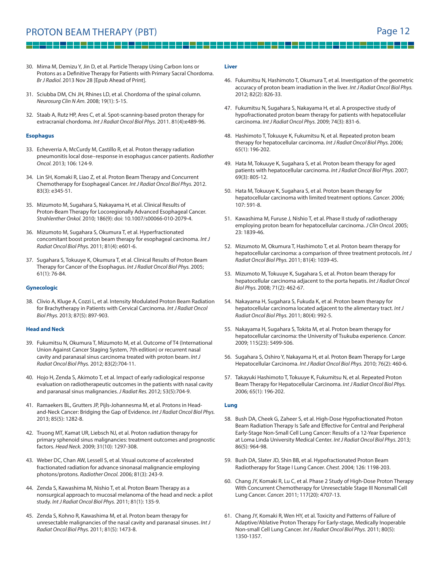## PROTON BEAM THERAPY (PBT) THEREAPY (PBT)

9 H H

<u> 155</u>

ا کا

30. Mima M, Demizu Y, Jin D, et al. Particle Therapy Using Carbon Ions or Protons as a Definitive Therapy for Patients with Primary Sacral Chordoma. Br J Radiol. 2013 Nov 28 [Epub Ahead of Print].

— — I

- 31. Sciubba DM, Chi JH, Rhines LD, et al. Chordoma of the spinal column. Neurosurg Clin N Am. 2008; 19(1): 5-15.
- 32. Staab A, Rutz HP, Ares C, et al. Spot-scanning-based proton therapy for extracranial chordoma. Int J Radiat Oncol Biol Phys. 2011. 81(4):e489-96.

#### **Esophagus**

- 33. Echeverria A, McCurdy M, Castillo R, et al. Proton therapy radiation pneumonitis local dose–response in esophagus cancer patients. Radiother Oncol. 2013; 106: 124-9.
- 34. Lin SH, Komaki R, Liao Z, et al. Proton Beam Therapy and Concurrent Chemotherapy for Esophageal Cancer. Int J Radiat Oncol Biol Phys. 2012. 83(3): e345-51.
- 35. Mizumoto M, Sugahara S, Nakayama H, et al. Clinical Results of Proton-Beam Therapy for Locoregionally Advanced Esophageal Cancer. Strahlenther Onkol. 2010; 186(9): doi: 10.1007/s00066-010-2079-4.
- 36. Mizumoto M, Sugahara S, Okumura T, et al. Hyperfractionated concomitant boost proton beam therapy for esophageal carcinoma. Int J Radiat Oncol Biol Phys. 2011; 81(4): e601-6.
- 37. Sugahara S, Tokuuye K, Okumura T, et al. Clinical Results of Proton Beam Therapy for Cancer of the Esophagus. Int J Radiat Oncol Biol Phys. 2005; 61(1): 76-84.

#### **Gynecologic**

38. Clivio A, Kluge A, Cozzi L, et al. Intensity Modulated Proton Beam Radiation for Brachytherapy in Patients with Cervical Carcinoma. Int J Radiat Oncol Biol Phys. 2013; 87(5): 897-903.

#### **Head and Neck**

- 39. Fukumitsu N, Okumura T, Mizumoto M, et al. Outcome of T4 (International Union Against Cancer Staging System, 7th edition) or recurrent nasal cavity and paranasal sinus carcinoma treated with proton beam. Int J Radiat Oncol Biol Phys. 2012; 83(2):704-11.
- 40. Hojo H, Zenda S, Akimoto T, et al. Impact of early radiological response evaluation on radiotherapeutic outcomes in the patients with nasal cavity and paranasal sinus malignancies. J Radiat Res. 2012; 53(5):704-9.
- 41. Ramaekers BL, Grutters JP, Pijls-Johannesma M, et al. Protons in Headand-Neck Cancer: Bridging the Gap of Evidence. Int J Radiat Oncol Biol Phys. 2013; 85(5): 1282-8.
- 42. Truong MT, Kamat UR, Liebsch NJ, et al. Proton radiation therapy for primary sphenoid sinus malignancies: treatment outcomes and prognostic factors. Head Neck. 2009; 31(10): 1297-308.
- 43. Weber DC, Chan AW, Lessell S, et al. Visual outcome of accelerated fractionated radiation for advance sinonasal malignancie employing photons/protons. Radiother Oncol. 2006; 81(3): 243-9.
- 44. Zenda S, Kawashima M, Nishio T, et al. Proton Beam Therapy as a nonsurgical approach to mucosal melanoma of the head and neck: a pilot study. Int J Radiat Oncol Biol Phys. 2011; 81(1): 135-9.
- 45. Zenda S, Kohno R, Kawashima M, et al. Proton beam therapy for unresectable malignancies of the nasal cavity and paranasal sinuses. Int J Radiat Oncol Biol Phys. 2011; 81(5): 1473-8.

#### **Liver**

- 46. Fukumitsu N, Hashimoto T, Okumura T, et al. Investigation of the geometric accuracy of proton beam irradiation in the liver. Int J Radiat Oncol Biol Phys. 2012; 82(2): 826-33.
- 47. Fukumitsu N, Sugahara S, Nakayama H, et al. A prospective study of hypofractionated proton beam therapy for patients with hepatocellular carcinoma. Int J Radiat Oncol Phys. 2009; 74(3): 831-6.
- 48. Hashimoto T, Tokuuye K, Fukumitsu N, et al. Repeated proton beam therapy for hepatocellular carcinoma. Int J Radiat Oncol Biol Phys. 2006; 65(1): 196-202.
- 49. Hata M, Tokuuye K, Sugahara S, et al. Proton beam therapy for aged patients with hepatocellular carcinoma. Int J Radiat Oncol Biol Phys. 2007; 69(3): 805-12.
- 50. Hata M, Tokuuye K, Sugahara S, et al. Proton beam therapy for hepatocellular carcinoma with limited treatment options. Cancer. 2006; 107: 591-8.
- 51. Kawashima M, Furuse J, Nishio T, et al. Phase II study of radiotherapy employing proton beam for hepatocellular carcinoma. J Clin Oncol. 2005; 23: 1839-46.
- 52. Mizumoto M, Okumura T, Hashimoto T, et al. Proton beam therapy for hepatocellular carcinoma: a comparison of three treatment protocols. Int J Radiat Oncol Biol Phys. 2011; 81(4): 1039-45.
- 53. Mizumoto M, Tokuuye K, Sugahara S, et al. Proton beam therapy for hepatocellular carcinoma adjacent to the porta hepatis. Int J Radiat Oncol Biol Phys. 2008; 71(2): 462-67.
- 54. Nakayama H, Sugahara S, Fukuda K, et al. Proton beam therapy for hepatocellular carcinoma located adjacent to the alimentary tract. Int J Radiat Oncol Biol Phys. 2011; 80(4): 992-5.
- 55. Nakayama H, Sugahara S, Tokita M, et al. Proton beam therapy for hepatocellular carcinoma: the University of Tsukuba experience. Cancer. 2009; 115(23): 5499-506.
- 56. Sugahara S, Oshiro Y, Nakayama H, et al. Proton Beam Therapy for Large Hepatocellular Carcinoma. Int J Radiat Oncol Biol Phys. 2010; 76(2): 460-6.
- 57. Takayuki Hashimoto T, Tokuuye K, Fukumitsu N, et al. Repeated Proton Beam Therapy for Hepatocellular Carcinoma. Int J Radiat Oncol Biol Phys. 2006; 65(1): 196-202.

#### **Lung**

- 58. Bush DA, Cheek G, Zaheer S, et al. High-Dose Hypofractionated Proton Beam Radiation Therapy Is Safe and Effective for Central and Peripheral Early-Stage Non-Small Cell Lung Cancer: Results of a 12-Year Experience at Loma Linda University Medical Center. Int J Radiat Oncol Biol Phys. 2013; 86(5): 964-98.
- 59. Bush DA, Slater JD, Shin BB, et al. Hypofractionated Proton Beam Radiotherapy for Stage I Lung Cancer. Chest. 2004; 126: 1198-203.
- 60. Chang JY, Komaki R, Lu C, et al. Phase 2 Study of High-Dose Proton Therapy With Concurrent Chemotherapy for Unresectable Stage III Nonsmall Cell Lung Cancer. Cancer. 2011; 117(20): 4707-13.
- 61. Chang JY, Komaki R, Wen HY, et al. Toxicity and Patterns of Failure of Adaptive/Ablative Proton Therapy For Early-stage, Medically Inoperable Non-small Cell Lung Cancer. Int J Radiat Oncol Biol Phys. 2011; 80(5): 1350-1357.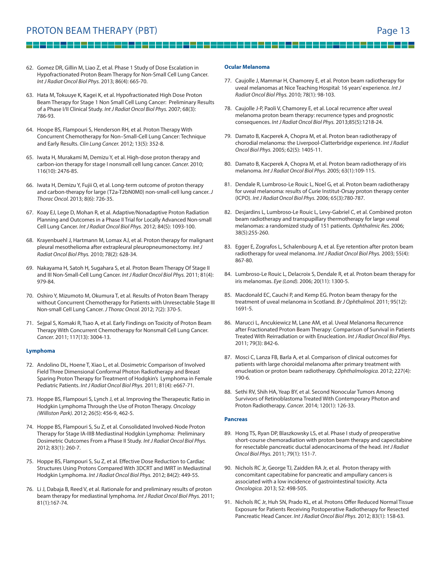## PROTON BEAM THERAPY (PBT) THEREAPY (PBT)

62. Gomez DR, Gillin M, Liao Z, et al. Phase 1 Study of Dose Escalation in Hypofractionated Proton Beam Therapy for Non-Small Cell Lung Cancer. Int J Radiat Oncol Biol Phys. 2013; 86(4): 665-70.

- 63. Hata M, Tokuuye K, Kagei K, et al. Hypofractionated High Dose Proton Beam Therapy for Stage 1 Non Small Cell Lung Cancer: Preliminary Results of a Phase I/II Clinical Study. Int J Radiat Oncol Biol Phys. 2007; 68(3): 786-93.
- 64. Hoope BS, Flampouri S, Henderson RH, et al. Proton Therapy With Concurrent Chemotherapy for Non–Small-Cell Lung Cancer: Technique and Early Results. Clin Lung Cancer. 2012; 13(5): 352-8.
- 65. Iwata H, Murakami M, Demizu Y, et al. High-dose proton therapy and carbon-ion therapy for stage I nonsmall cell lung cancer. Cancer. 2010; 116(10): 2476-85.
- 66. Iwata H, Demizu Y, Fujii O, et al. Long-term outcome of proton therapy and carbon-therapy for large (T2a-T2bN0M0) non-small-cell lung cancer. J Thorac Oncol. 2013; 8(6): 726-35.
- 67. Koay EJ, Lege D, Mohan R, et al. Adaptive/Nonadaptive Proton Radiation Planning and Outcomes in a Phase II Trial for Locally Advanced Non-small Cell Lung Cancer. Int J Radiat Oncol Biol Phys. 2012; 84(5): 1093-100.
- 68. Krayenbuehl J, Hartmann M, Lomax AJ, et al. Proton therapy for malignant pleural mesothelioma after extrapleural pleuropneumonectomy. Int J Radiat Oncol Biol Phys. 2010; 78(2): 628-34.
- 69. Nakayama H, Satoh H, Sugahara S, et al. Proton Beam Therapy Of Stage II and III Non-Small-Cell Lung Cancer. Int J Radiat Oncol Biol Phys. 2011; 81(4): 979-84.
- 70. Oshiro Y, Mizumoto M, Okumura T, et al. Results of Proton Beam Therapy without Concurrent Chemotherapy for Patients with Unresectable Stage III Non-small Cell Lung Cancer. J Thorac Oncol. 2012; 7(2): 370-5.
- 71. Sejpal S, Komaki R, Tsao A, et al. Early Findings on Toxicity of Proton Beam Therapy With Concurrent Chemotherapy for Nonsmall Cell Lung Cancer. Cancer. 2011; 117(13): 3004-13.

#### **Lymphoma**

- 72. Andolino DL, Hoene T, Xiao L, et al. Dosimetric Comparison of Involved Field Three Dimensional Conformal Photon Radiotherapy and Breast Sparing Proton Therapy for Treatment of Hodgkin's Lymphoma in Female Pediatric Patients. Int J Radiat Oncol Biol Phys. 2011; 81(4): e667-71.
- 73. Hoppe BS, Flampouri S, Lynch J, et al. Improving the Therapeutic Ratio in Hodgkin Lymphoma Through the Use of Proton Therapy. Oncology (Williston Park). 2012; 26(5): 456-9, 462-5.
- 74. Hoppe BS, Flampouri S, Su Z, et al. Consolidated Involved-Node Proton Therapy for Stage IA-IIIB Mediastinal Hodgkin Lymphoma: Preliminary Dosimetric Outcomes From a Phase II Study. Int J Radiat Oncol Biol Phys. 2012; 83(1): 260-7.
- 75. Hoppe BS, Flampouri S, Su Z, et al. Effective Dose Reduction to Cardiac Structures Using Protons Compared With 3DCRT and IMRT in Mediastinal Hodgkin Lymphoma. Int J Radiat Oncol Biol Phys. 2012; 84(2): 449-55.
- 76. Li J, Dabaja B, Reed V, et al. Rationale for and preliminary results of proton beam therapy for mediastinal lymphoma. Int J Radiat Oncol Biol Phys. 2011; 81(1):167-74.

#### **Ocular Melanoma**

77. Caujolle J, Mammar H, Chamorey E, et al. Proton beam radiotherapy for uveal melanomas at Nice Teaching Hospital: 16 years' experience. Int J Radiat Oncol Biol Phys. 2010; 78(1): 98-103.

- 22 meter 23 meter 23 m

- 78. Caujolle J-P, Paoli V, Chamorey E, et al. Local recurrence after uveal melanoma proton beam therapy: recurrence types and prognostic consequences. Int J Radiat Oncol Biol Phys. 2013;85(5):1218-24.
- 79. Damato B, Kacperek A, Chopra M, et al. Proton bean radiotherapy of chorodial melanoma: the Liverpool-Clatterbridge experience. Int J Radiat Oncol Biol Phys. 2005; 62(5): 1405-11.
- 80. Damato B, Kacperek A, Chopra M, et al. Proton beam radiotherapy of iris melanoma. Int J Radiat Oncol Biol Phys. 2005; 63(1):109-115.
- 81. Dendale R, Lumbroso-Le Rouic L, Noel G, et al. Proton beam radiotherapy for uveal melanoma: results of Curie Institut-Orsay proton therapy center (ICPO). Int J Radiat Oncol Biol Phys. 2006; 65(3):780-787.
- 82. Desjardins L, Lumbroso-Le Rouic L, Levy-Gabriel C, et al. Combined proton beam radiotherapy and transpupillary thermotherapy for large uveal melanomas: a randomized study of 151 patients. Ophthalmic Res. 2006; 38(5):255-260.
- 83. Egger E, Zografos L, Schalenbourg A, et al. Eye retention after proton beam radiotherapy for uveal melanoma. Int J Radiat Oncol Biol Phys. 2003; 55(4): 867-80.
- 84. Lumbroso-Le Rouic L, Delacroix S, Dendale R, et al. Proton beam therapy for iris melanomas. Eye (Lond). 2006; 20(11): 1300-5.
- 85. Macdonald EC, Cauchi P, and Kemp EG. Proton beam therapy for the treatment of uveal melanoma in Scotland. Br J Ophthalmol. 2011; 95(12): 1691-5.
- 86. Marucci L, Ancukiewicz M, Lane AM, et al. Uveal Melanoma Recurrence after Fractionated Proton Beam Therapy: Comparison of Survival in Patients Treated With Reirradiation or with Enucleation. Int J Radiat Oncol Biol Phys. 2011; 79(3): 842-6.
- 87. Mosci C, Lanza FB, Barla A, et al. Comparison of clinical outcomes for patients with large choroidal melanoma after primary treatment with enucleation or proton beam radiotherapy. Ophthalmologica. 2012; 227(4): 190-6.
- 88. Sethi RV, Shih HA, Yeap BY, et al. Second Nonocular Tumors Among Survivors of Retinoblastoma Treated With Contemporary Photon and Proton Radiotherapy. Cancer. 2014; 120(1): 126-33.

#### **Pancreas**

- 89. Hong TS, Ryan DP, Blaszkowsky LS, et al. Phase I study of preoperative short-course chemoradiation with proton beam therapy and capecitabine for resectable pancreatic ductal adenocarcinoma of the head. Int J Radiat Oncol Biol Phys. 2011; 79(1): 151-7.
- 90. Nichols RC Jr, George TJ, Zaidden RA Jr, et al. Proton therapy with concomitant capecitabine for pancreatic and ampullary cancers is associated with a low incidence of gastrointestinal toxicity. Acta Oncologica. 2013; 52: 498-505.
- 91. Nichols RC Jr, Huh SN, Prado KL, et al. Protons Offer Reduced Normal Tissue Exposure for Patients Receiving Postoperative Radiotherapy for Resected Pancreatic Head Cancer. Int J Radiat Oncol Biol Phys. 2012; 83(1): 158-63.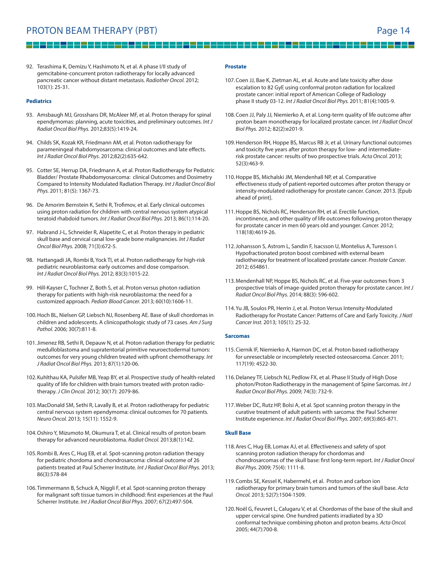92. Terashima K, Demizu Y, Hashimoto N, et al. A phase I/II study of gemcitabine-concurrent proton radiotherapy for locally advanced pancreatic cancer without distant metastasis. Radiother Oncol. 2012; 103(1): 25-31.

#### **Pediatrics**

- 93. Amsbaugh MJ, Grosshans DR, McAleer MF, et al. Proton therapy for spinal ependymomas: planning, acute toxicities, and preliminary outcomes. Int J Radiat Oncol Biol Phys. 2012;83(5):1419-24.
- 94. Childs SK, Kozak KR, Friedmann AM, et al. Proton radiotherapy for parameningeal rhabdomyosarcoma: clinical outcomes and late effects. Int J Radiat Oncol Biol Phys. 2012;82(2):635-642.
- 95. Cotter SE, Herrup DA, Friedmann A, et al. Proton Radiotherapy for Pediatric Bladder/ Prostate Rhabdomyosarcoma: clinical Outcomes and Dosimetry Compared to Intensity Modulated Radiation Therapy. Int J Radiat Oncol Biol Phys. 2011; 81(5): 1367-73.
- 96. De Amorim Bernstein K, Sethi R, Trofimov, et al. Early clinical outcomes using proton radiation for children with central nervous system atypical teratoid rhabdoid tumors. Int J Radiat Oncol Biol Phys. 2013; 86(1):114-20.
- 97. Habrand J-L, Schneider R, Alapetite C, et al. Proton therapy in pediatric skull base and cervical canal low-grade bone malignancies. Int J Radiat Oncol Biol Phys. 2008; 71(3):672-5.
- 98. Hattangadi JA, Rombi B, Yock TI, et al. Proton radiotherapy for high-risk pediatric neuroblastoma: early outcomes and dose comparison. Int J Radiat Oncol Biol Phys. 2012; 83(3):1015-22.
- 99. Hill-Kayser C, Tochner Z, Both S, et al. Proton versus photon radiation therapy for patients with high-risk neuroblastoma: the need for a customized approach. Pediatr Blood Cancer. 2013; 60(10):1606-11.
- 100. Hoch BL, Nielsen GP, Liebsch NJ, Rosenberg AE. Base of skull chordomas in children and adolescents. A clinicopathologic study of 73 cases. Am J Surg Pathol. 2006; 30(7):811-8.
- 101. Jimenez RB, Sethi R, Depauw N, et al. Proton radiation therapy for pediatric medulloblastoma and supratentorial primitive neuroectodermal tumors: outcomes for very young children treated with upfront chemotherapy. Int J Radiat Oncol Biol Phys. 2013; 87(1):120-06.
- 102. Kuhlthau KA, Pulsifer MB, Yeap BY, et al. Prospective study of health-related quality of life for children with brain tumors treated with proton radiotherapy. J Clin Oncol. 2012; 30(17): 2079-86.
- 103. MacDonald SM, Sethi R, Lavally B, et al. Proton radiotherapy for pediatric central nervous system ependymoma: clinical outcomes for 70 patients. Neuro Oncol. 2013; 15(11): 1552-9.
- 104. Oshiro Y, Mizumoto M, Okumura T, et al. Clinical results of proton beam therapy for advanced neuroblastoma. Radiat Oncol. 2013;8(1):142.
- 105. Rombi B, Ares C, Hug EB, et al. Spot-scanning proton radiation therapy for pediatric chordoma and chondrosarcoma: clinical outcome of 26 patients treated at Paul Scherrer Institute. Int J Radiat Oncol Biol Phys. 2013; 86(3):578-84
- 106. Timmermann B, Schuck A, Niggli F, et al. Spot-scanning proton therapy for malignant soft tissue tumors in childhood: first experiences at the Paul Scherrer Institute. Int J Radiat Oncol Biol Phys. 2007; 67(2):497-504.

#### **Prostate**

107. Coen JJ, Bae K, Zietman AL, et al. Acute and late toxicity after dose escalation to 82 GyE using conformal proton radiation for localized prostate cancer: initial report of American College of Radiology phase II study 03-12. Int J Radiat Oncol Biol Phys. 2011; 81(4):1005-9.

2 H Z

108. Coen JJ, Paly JJ, Niemierko A, et al. Long-term quality of life outcome after proton beam monotherapy for localized prostate cancer. Int J Radiat Oncol Biol Phys. 2012; 82(2):e201-9.

프로프로프로프로 프로!

- 109. Henderson RH, Hoppe BS, Marcus RB Jr, et al. Urinary functional outcomes and toxicity five years after proton therapy for low- and intermediaterisk prostate cancer: results of two prospective trials. Acta Oncol. 2013; 52(3):463-9.
- 110. Hoppe BS, Michalski JM, Mendenhall NP, et al. Comparative effectiveness study of patient-reported outcomes after proton therapy or intensity-modulated radiotherapy for prostate cancer. Cancer. 2013. [Epub ahead of print].
- 111. Hoppe BS, Nichols RC, Henderson RH, et al. Erectile function, incontinence, and other quality of life outcomes following proton therapy for prostate cancer in men 60 years old and younger. Cancer. 2012; 118(18):4619-26.
- 112. Johansson S, Astrom L, Sandin F, Isacsson U, Montelius A, Turesson I. Hypofractionated proton boost combined with external beam radiotherapy for treatment of localized prostate cancer. Prostate Cancer. 2012; 654861.
- 113. Mendenhall NP, Hoppe BS, Nichols RC, et al. Five-year outcomes from 3 prospective trials of image-guided proton therapy for prostate cancer. Int J Radiat Oncol Biol Phys. 2014; 88(3): 596-602.
- 114. Yu JB, Soulos PR, Herrin J, et al. Proton Versus Intensity-Modulated Radiotherapy for Prostate Cancer: Patterns of Care and Early Toxicity. J Natl Cancer Inst. 2013; 105(1): 25-32.

#### **Sarcomas**

- 115. Ciernik IF, Niemierko A, Harmon DC, et al. Proton based radiotherapy for unresectable or incompletely resected osteosarcoma. Cancer. 2011; 117(19): 4522-30.
- 116. Delaney TF, Liebsch NJ, Pedlow FX, et al. Phase II Study of High Dose photon/Proton Radiotherapy in the management of Spine Sarcomas. Int J Radiat Oncol Biol Phys. 2009; 74(3): 732-9.
- 117. Weber DC, Rutz HP, Bolsi A, et al. Spot scanning proton therapy in the curative treatment of adult patients with sarcoma: the Paul Scherrer Institute experience. Int J Radiat Oncol Biol Phys. 2007; 69(3):865-871.

#### **Skull Base**

- 118. Ares C, Hug EB, Lomax AJ, et al. Effectiveness and safety of spot scanning proton radiation therapy for chordomas and chondrosarcomas of the skull base: first long-term report. Int J Radiat Oncol Biol Phys. 2009; 75(4): 1111-8.
- 119. Combs SE, Kessel K, Habermehl, et al. Proton and carbon ion radiotherapy for primary brain tumors and tumors of the skull base. Acta Oncol. 2013; 52(7):1504-1509.
- 120. Noël G, Feuvret L, Calugaru V, et al. Chordomas of the base of the skull and upper cervical spine. One hundred patients irradiated by a 3D conformal technique combining photon and proton beams. Acta Oncol. 2005; 44(7):700-8.